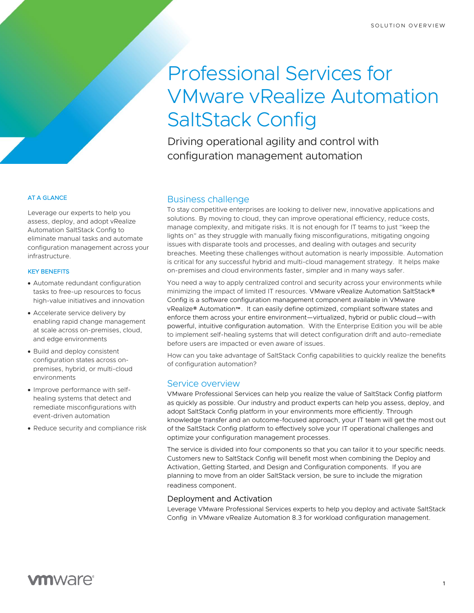# Professional Services for VMware vRealize Automation SaltStack Config

Driving operational agility and control with configuration management automation

## Business challenge

To stay competitive enterprises are looking to deliver new, innovative applications and solutions. By moving to cloud, they can improve operational efficiency, reduce costs, manage complexity, and mitigate risks. It is not enough for IT teams to just "keep the lights on" as they struggle with manually fixing misconfigurations, mitigating ongoing issues with disparate tools and processes, and dealing with outages and security breaches. Meeting these challenges without automation is nearly impossible. Automation is critical for any successful hybrid and multi-cloud management strategy. It helps make on-premises and cloud environments faster, simpler and in many ways safer.

You need a way to apply centralized control and security across your environments while minimizing the impact of limited IT resources. VMware vRealize Automation SaltStack® Config is a software configuration management component available in VMware vRealize® Automation™. It can easily define optimized, compliant software states and enforce them across your entire environment—virtualized, hybrid or public cloud—with powerful, intuitive configuration automation. With the Enterprise Edition you will be able to implement self-healing systems that will detect configuration drift and auto-remediate before users are impacted or even aware of issues.

How can you take advantage of SaltStack Config capabilities to quickly realize the benefits of configuration automation?

## Service overview

VMware Professional Services can help you realize the value of SaltStack Config platform as quickly as possible. Our industry and product experts can help you assess, deploy, and adopt SaltStack Config platform in your environments more efficiently. Through knowledge transfer and an outcome-focused approach, your IT team will get the most out of the SaltStack Config platform to effectively solve your IT operational challenges and optimize your configuration management processes.

The service is divided into four components so that you can tailor it to your specific needs. Customers new to SaltStack Config will benefit most when combining the Deploy and Activation, Getting Started, and Design and Configuration components. If you are planning to move from an older SaltStack version, be sure to include the migration readiness component.

## Deployment and Activation

Leverage VMware Professional Services experts to help you deploy and activate SaltStack Config in VMware vRealize Automation 8.3 for workload configuration management.

#### AT A GLANCE

Leverage our experts to help you assess, deploy, and adopt vRealize Automation SaltStack Config to eliminate manual tasks and automate configuration management across your infrastructure.

#### KEY BENEFITS

- Automate redundant configuration tasks to free-up resources to focus high-value initiatives and innovation
- Accelerate service delivery by enabling rapid change management at scale across on-premises, cloud, and edge environments
- Build and deploy consistent configuration states across onpremises, hybrid, or multi-cloud environments
- Improve performance with selfhealing systems that detect and remediate misconfigurations with event-driven automation
- Reduce security and compliance risk